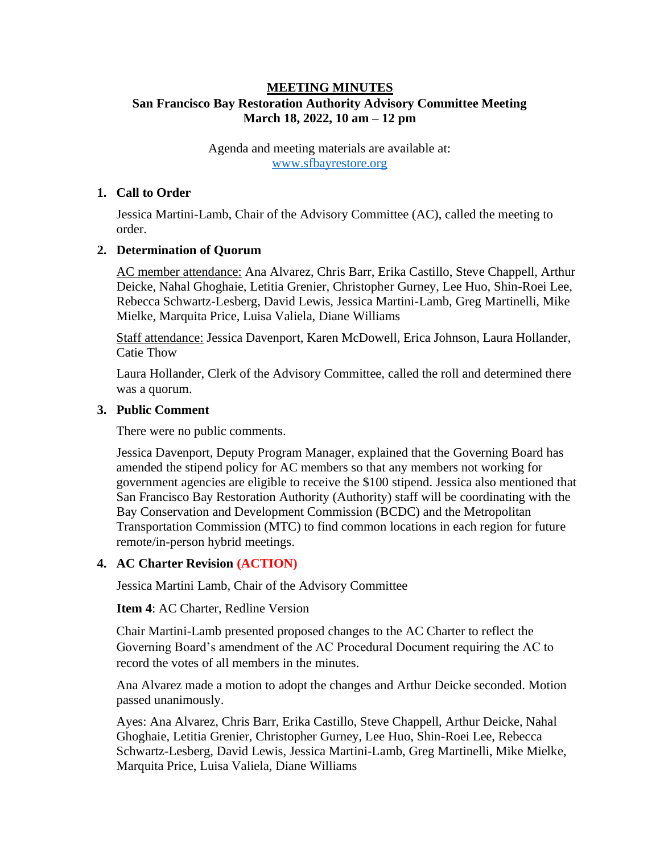## **MEETING MINUTES San Francisco Bay Restoration Authority Advisory Committee Meeting March 18, 2022, 10 am – 12 pm**

Agenda and meeting materials are available at: [www.sfbayrestore.org](http://www.sfbayrestore.org/)

#### **1. Call to Order**

Jessica Martini-Lamb, Chair of the Advisory Committee (AC), called the meeting to order.

#### **2. Determination of Quorum**

AC member attendance: Ana Alvarez, Chris Barr, Erika Castillo, Steve Chappell, Arthur Deicke, Nahal Ghoghaie, Letitia Grenier, Christopher Gurney, Lee Huo, Shin-Roei Lee, Rebecca Schwartz-Lesberg, David Lewis, Jessica Martini-Lamb, Greg Martinelli, Mike Mielke, Marquita Price, Luisa Valiela, Diane Williams

Staff attendance: Jessica Davenport, Karen McDowell, Erica Johnson, Laura Hollander, Catie Thow

Laura Hollander, Clerk of the Advisory Committee, called the roll and determined there was a quorum.

#### **3. Public Comment**

There were no public comments.

Jessica Davenport, Deputy Program Manager, explained that the Governing Board has amended the stipend policy for AC members so that any members not working for government agencies are eligible to receive the \$100 stipend. Jessica also mentioned that San Francisco Bay Restoration Authority (Authority) staff will be coordinating with the Bay Conservation and Development Commission (BCDC) and the Metropolitan Transportation Commission (MTC) to find common locations in each region for future remote/in-person hybrid meetings.

#### **4. AC Charter Revision (ACTION)**

Jessica Martini Lamb, Chair of the Advisory Committee

#### **Item 4**: AC Charter, Redline Version

Chair Martini-Lamb presented proposed changes to the AC Charter to reflect the Governing Board's amendment of the AC Procedural Document requiring the AC to record the votes of all members in the minutes.

Ana Alvarez made a motion to adopt the changes and Arthur Deicke seconded. Motion passed unanimously.

Ayes: Ana Alvarez, Chris Barr, Erika Castillo, Steve Chappell, Arthur Deicke, Nahal Ghoghaie, Letitia Grenier, Christopher Gurney, Lee Huo, Shin-Roei Lee, Rebecca Schwartz-Lesberg, David Lewis, Jessica Martini-Lamb, Greg Martinelli, Mike Mielke, Marquita Price, Luisa Valiela, Diane Williams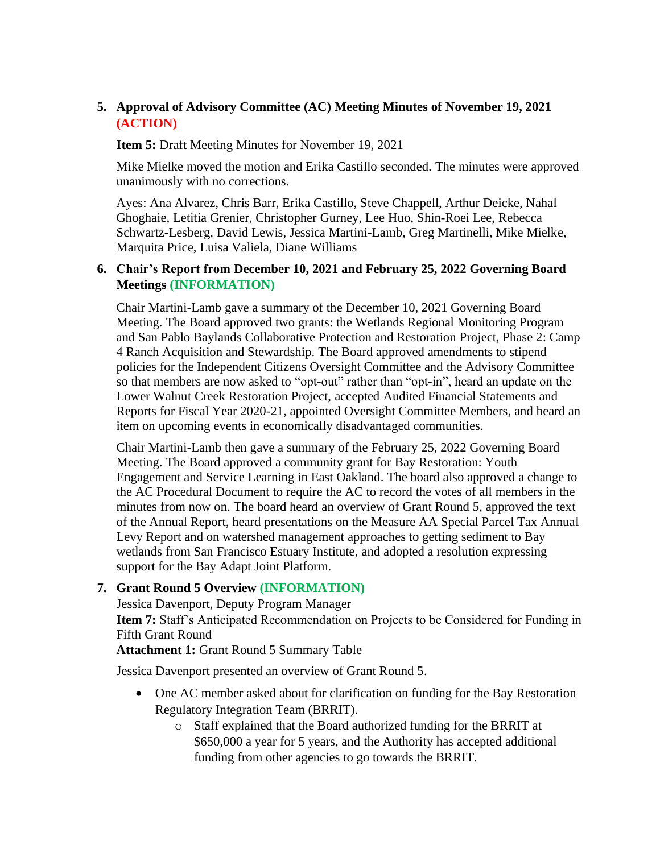# **5. Approval of Advisory Committee (AC) Meeting Minutes of November 19, 2021 (ACTION)**

**Item 5:** Draft Meeting Minutes for November 19, 2021

Mike Mielke moved the motion and Erika Castillo seconded. The minutes were approved unanimously with no corrections.

Ayes: Ana Alvarez, Chris Barr, Erika Castillo, Steve Chappell, Arthur Deicke, Nahal Ghoghaie, Letitia Grenier, Christopher Gurney, Lee Huo, Shin-Roei Lee, Rebecca Schwartz-Lesberg, David Lewis, Jessica Martini-Lamb, Greg Martinelli, Mike Mielke, Marquita Price, Luisa Valiela, Diane Williams

### **6. Chair's Report from December 10, 2021 and February 25, 2022 Governing Board Meetings (INFORMATION)**

Chair Martini-Lamb gave a summary of the December 10, 2021 Governing Board Meeting. The Board approved two grants: the Wetlands Regional Monitoring Program and San Pablo Baylands Collaborative Protection and Restoration Project, Phase 2: Camp 4 Ranch Acquisition and Stewardship. The Board approved amendments to stipend policies for the Independent Citizens Oversight Committee and the Advisory Committee so that members are now asked to "opt-out" rather than "opt-in", heard an update on the Lower Walnut Creek Restoration Project, accepted Audited Financial Statements and Reports for Fiscal Year 2020-21, appointed Oversight Committee Members, and heard an item on upcoming events in economically disadvantaged communities.

Chair Martini-Lamb then gave a summary of the February 25, 2022 Governing Board Meeting. The Board approved a community grant for Bay Restoration: Youth Engagement and Service Learning in East Oakland. The board also approved a change to the AC Procedural Document to require the AC to record the votes of all members in the minutes from now on. The board heard an overview of Grant Round 5, approved the text of the Annual Report, heard presentations on the Measure AA Special Parcel Tax Annual Levy Report and on watershed management approaches to getting sediment to Bay wetlands from San Francisco Estuary Institute, and adopted a resolution expressing support for the Bay Adapt Joint Platform.

## **7. Grant Round 5 Overview (INFORMATION)**

Jessica Davenport, Deputy Program Manager

**Item 7:** Staff's Anticipated Recommendation on Projects to be Considered for Funding in Fifth Grant Round

**Attachment 1:** Grant Round 5 Summary Table

Jessica Davenport presented an overview of Grant Round 5.

- One AC member asked about for clarification on funding for the Bay Restoration Regulatory Integration Team (BRRIT).
	- o Staff explained that the Board authorized funding for the BRRIT at \$650,000 a year for 5 years, and the Authority has accepted additional funding from other agencies to go towards the BRRIT.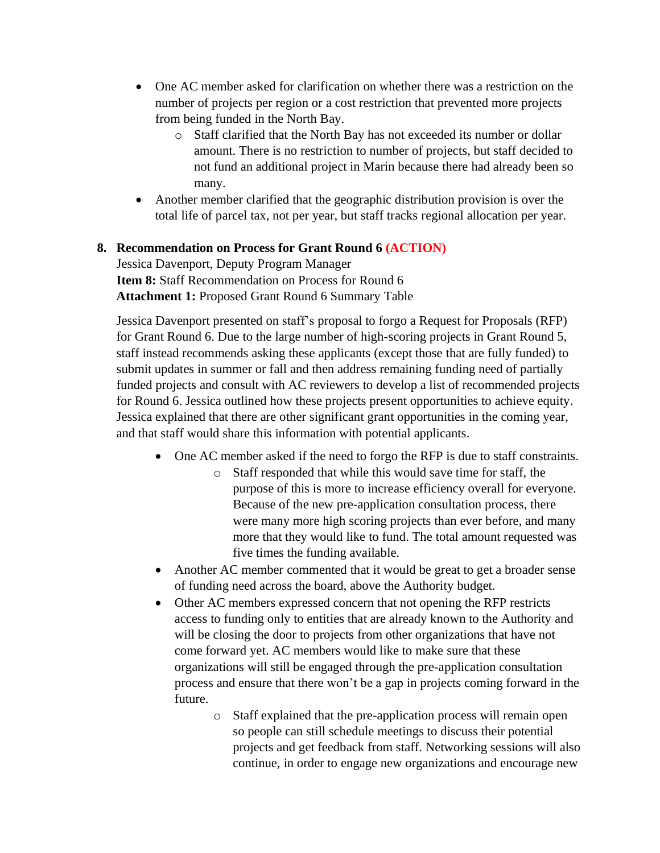- One AC member asked for clarification on whether there was a restriction on the number of projects per region or a cost restriction that prevented more projects from being funded in the North Bay.
	- o Staff clarified that the North Bay has not exceeded its number or dollar amount. There is no restriction to number of projects, but staff decided to not fund an additional project in Marin because there had already been so many.
- Another member clarified that the geographic distribution provision is over the total life of parcel tax, not per year, but staff tracks regional allocation per year.

# **8. Recommendation on Process for Grant Round 6 (ACTION)**

Jessica Davenport, Deputy Program Manager **Item 8:** Staff Recommendation on Process for Round 6 **Attachment 1:** Proposed Grant Round 6 Summary Table

Jessica Davenport presented on staff's proposal to forgo a Request for Proposals (RFP) for Grant Round 6. Due to the large number of high-scoring projects in Grant Round 5, staff instead recommends asking these applicants (except those that are fully funded) to submit updates in summer or fall and then address remaining funding need of partially funded projects and consult with AC reviewers to develop a list of recommended projects for Round 6. Jessica outlined how these projects present opportunities to achieve equity. Jessica explained that there are other significant grant opportunities in the coming year, and that staff would share this information with potential applicants.

- One AC member asked if the need to forgo the RFP is due to staff constraints.
	- o Staff responded that while this would save time for staff, the purpose of this is more to increase efficiency overall for everyone. Because of the new pre-application consultation process, there were many more high scoring projects than ever before, and many more that they would like to fund. The total amount requested was five times the funding available.
- Another AC member commented that it would be great to get a broader sense of funding need across the board, above the Authority budget.
- Other AC members expressed concern that not opening the RFP restricts access to funding only to entities that are already known to the Authority and will be closing the door to projects from other organizations that have not come forward yet. AC members would like to make sure that these organizations will still be engaged through the pre-application consultation process and ensure that there won't be a gap in projects coming forward in the future.
	- o Staff explained that the pre-application process will remain open so people can still schedule meetings to discuss their potential projects and get feedback from staff. Networking sessions will also continue, in order to engage new organizations and encourage new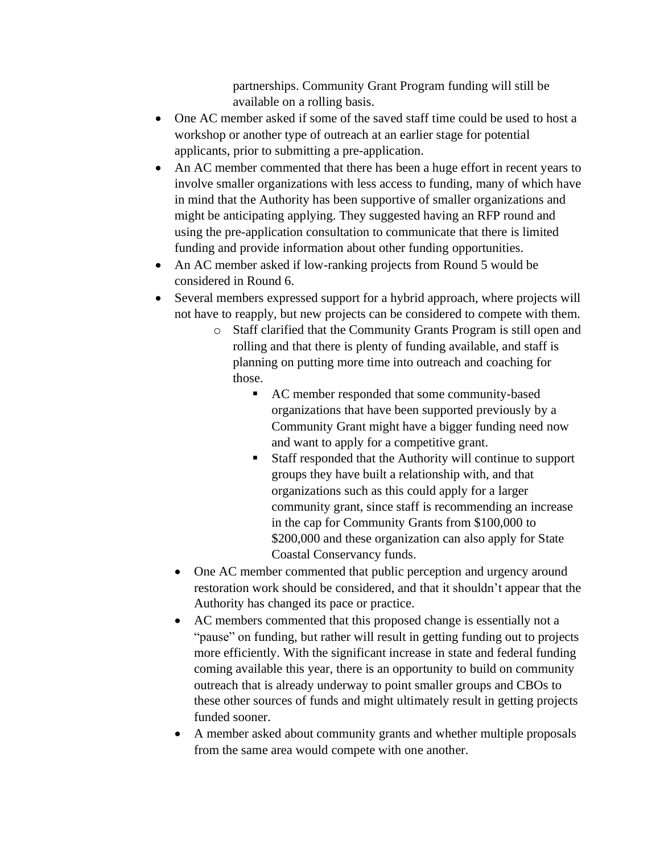partnerships. Community Grant Program funding will still be available on a rolling basis.

- One AC member asked if some of the saved staff time could be used to host a workshop or another type of outreach at an earlier stage for potential applicants, prior to submitting a pre-application.
- An AC member commented that there has been a huge effort in recent years to involve smaller organizations with less access to funding, many of which have in mind that the Authority has been supportive of smaller organizations and might be anticipating applying. They suggested having an RFP round and using the pre-application consultation to communicate that there is limited funding and provide information about other funding opportunities.
- An AC member asked if low-ranking projects from Round 5 would be considered in Round 6.
- Several members expressed support for a hybrid approach, where projects will not have to reapply, but new projects can be considered to compete with them.
	- o Staff clarified that the Community Grants Program is still open and rolling and that there is plenty of funding available, and staff is planning on putting more time into outreach and coaching for those.
		- AC member responded that some community-based organizations that have been supported previously by a Community Grant might have a bigger funding need now and want to apply for a competitive grant.
		- Staff responded that the Authority will continue to support groups they have built a relationship with, and that organizations such as this could apply for a larger community grant, since staff is recommending an increase in the cap for Community Grants from \$100,000 to \$200,000 and these organization can also apply for State Coastal Conservancy funds.
	- One AC member commented that public perception and urgency around restoration work should be considered, and that it shouldn't appear that the Authority has changed its pace or practice.
	- AC members commented that this proposed change is essentially not a "pause" on funding, but rather will result in getting funding out to projects more efficiently. With the significant increase in state and federal funding coming available this year, there is an opportunity to build on community outreach that is already underway to point smaller groups and CBOs to these other sources of funds and might ultimately result in getting projects funded sooner.
	- A member asked about community grants and whether multiple proposals from the same area would compete with one another.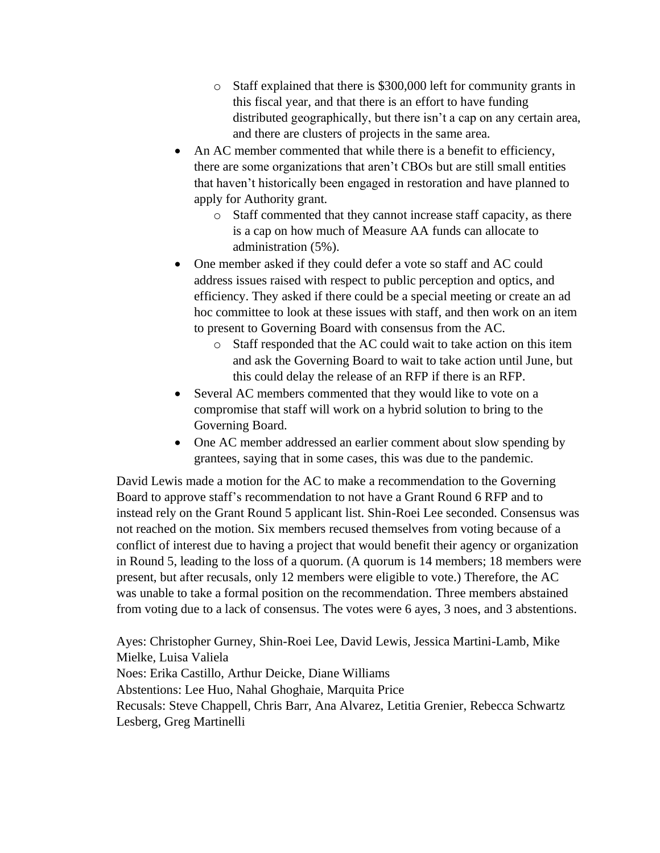- o Staff explained that there is \$300,000 left for community grants in this fiscal year, and that there is an effort to have funding distributed geographically, but there isn't a cap on any certain area, and there are clusters of projects in the same area.
- An AC member commented that while there is a benefit to efficiency, there are some organizations that aren't CBOs but are still small entities that haven't historically been engaged in restoration and have planned to apply for Authority grant.
	- o Staff commented that they cannot increase staff capacity, as there is a cap on how much of Measure AA funds can allocate to administration (5%).
- One member asked if they could defer a vote so staff and AC could address issues raised with respect to public perception and optics, and efficiency. They asked if there could be a special meeting or create an ad hoc committee to look at these issues with staff, and then work on an item to present to Governing Board with consensus from the AC.
	- o Staff responded that the AC could wait to take action on this item and ask the Governing Board to wait to take action until June, but this could delay the release of an RFP if there is an RFP.
- Several AC members commented that they would like to vote on a compromise that staff will work on a hybrid solution to bring to the Governing Board.
- One AC member addressed an earlier comment about slow spending by grantees, saying that in some cases, this was due to the pandemic.

David Lewis made a motion for the AC to make a recommendation to the Governing Board to approve staff's recommendation to not have a Grant Round 6 RFP and to instead rely on the Grant Round 5 applicant list. Shin-Roei Lee seconded. Consensus was not reached on the motion. Six members recused themselves from voting because of a conflict of interest due to having a project that would benefit their agency or organization in Round 5, leading to the loss of a quorum. (A quorum is 14 members; 18 members were present, but after recusals, only 12 members were eligible to vote.) Therefore, the AC was unable to take a formal position on the recommendation. Three members abstained from voting due to a lack of consensus. The votes were 6 ayes, 3 noes, and 3 abstentions.

Ayes: Christopher Gurney, Shin-Roei Lee, David Lewis, Jessica Martini-Lamb, Mike Mielke, Luisa Valiela Noes: Erika Castillo, Arthur Deicke, Diane Williams Abstentions: Lee Huo, Nahal Ghoghaie, Marquita Price Recusals: Steve Chappell, Chris Barr, Ana Alvarez, Letitia Grenier, Rebecca Schwartz Lesberg, Greg Martinelli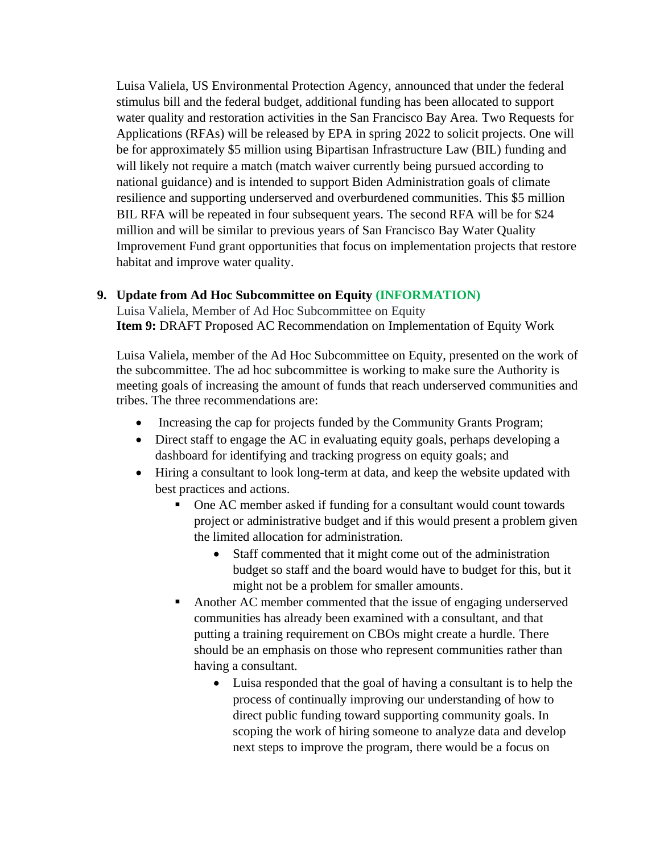Luisa Valiela, US Environmental Protection Agency, announced that under the federal stimulus bill and the federal budget, additional funding has been allocated to support water quality and restoration activities in the San Francisco Bay Area. Two Requests for Applications (RFAs) will be released by EPA in spring 2022 to solicit projects. One will be for approximately \$5 million using Bipartisan Infrastructure Law (BIL) funding and will likely not require a match (match waiver currently being pursued according to national guidance) and is intended to support Biden Administration goals of climate resilience and supporting underserved and overburdened communities. This \$5 million BIL RFA will be repeated in four subsequent years. The second RFA will be for \$24 million and will be similar to previous years of San Francisco Bay Water Quality Improvement Fund grant opportunities that focus on implementation projects that restore habitat and improve water quality.

### **9. Update from Ad Hoc Subcommittee on Equity (INFORMATION)**

Luisa Valiela, Member of Ad Hoc Subcommittee on Equity **Item 9:** DRAFT Proposed AC Recommendation on Implementation of Equity Work

Luisa Valiela, member of the Ad Hoc Subcommittee on Equity, presented on the work of the subcommittee. The ad hoc subcommittee is working to make sure the Authority is meeting goals of increasing the amount of funds that reach underserved communities and tribes. The three recommendations are:

- Increasing the cap for projects funded by the Community Grants Program;
- Direct staff to engage the AC in evaluating equity goals, perhaps developing a dashboard for identifying and tracking progress on equity goals; and
- Hiring a consultant to look long-term at data, and keep the website updated with best practices and actions.
	- One AC member asked if funding for a consultant would count towards project or administrative budget and if this would present a problem given the limited allocation for administration.
		- Staff commented that it might come out of the administration budget so staff and the board would have to budget for this, but it might not be a problem for smaller amounts.
	- Another AC member commented that the issue of engaging underserved communities has already been examined with a consultant, and that putting a training requirement on CBOs might create a hurdle. There should be an emphasis on those who represent communities rather than having a consultant.
		- Luisa responded that the goal of having a consultant is to help the process of continually improving our understanding of how to direct public funding toward supporting community goals. In scoping the work of hiring someone to analyze data and develop next steps to improve the program, there would be a focus on